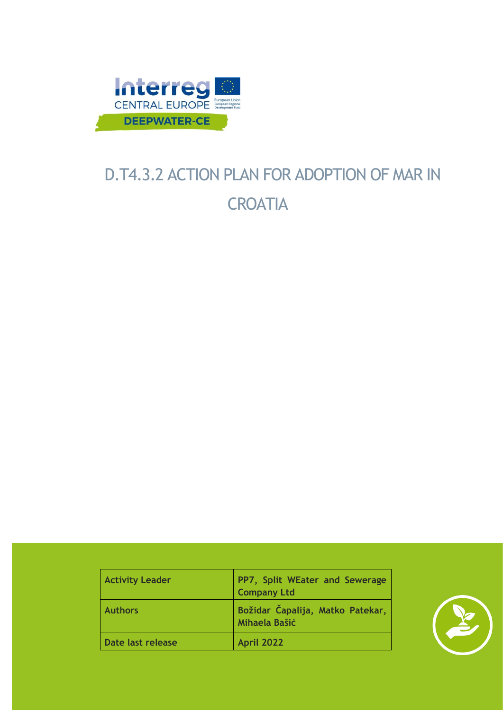

# D.T4.3.2 ACTION PLAN FOR ADOPTION OF MAR IN **CROATIA**

| <b>Activity Leader</b> | PP7, Split WEater and Sewerage<br><b>Company Ltd</b>     |
|------------------------|----------------------------------------------------------|
| <b>Authors</b>         | Božidar Čapalija, Matko Patekar,<br><b>Mihaela Bašić</b> |
| Date last release      | <b>April 2022</b>                                        |

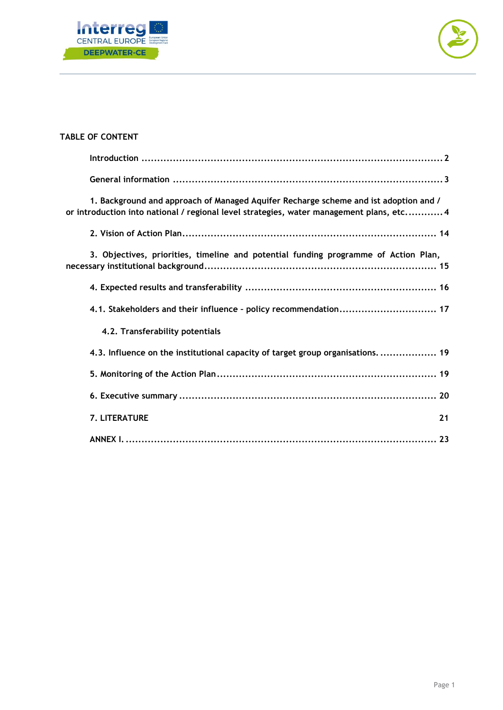



# **TABLE OF CONTENT**

| 1. Background and approach of Managed Aquifer Recharge scheme and ist adoption and /<br>or introduction into national / regional level strategies, water management plans, etc 4 |
|----------------------------------------------------------------------------------------------------------------------------------------------------------------------------------|
|                                                                                                                                                                                  |
| 3. Objectives, priorities, timeline and potential funding programme of Action Plan,                                                                                              |
|                                                                                                                                                                                  |
| 4.1. Stakeholders and their influence - policy recommendation 17                                                                                                                 |
| 4.2. Transferability potentials                                                                                                                                                  |
| 4.3. Influence on the institutional capacity of target group organisations.  19                                                                                                  |
|                                                                                                                                                                                  |
|                                                                                                                                                                                  |
| <b>7. LITERATURE</b><br>21                                                                                                                                                       |
|                                                                                                                                                                                  |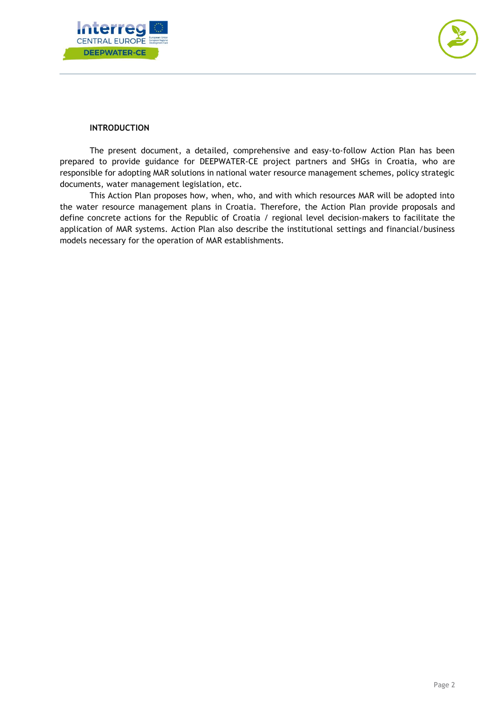



## **INTRODUCTION**

<span id="page-2-0"></span>The present document, a detailed, comprehensive and easy-to-follow Action Plan has been prepared to provide guidance for DEEPWATER-CE project partners and SHGs in Croatia, who are responsible for adopting MAR solutions in national water resource management schemes, policy strategic documents, water management legislation, etc.

This Action Plan proposes how, when, who, and with which resources MAR will be adopted into the water resource management plans in Croatia. Therefore, the Action Plan provide proposals and define concrete actions for the Republic of Croatia / regional level decision-makers to facilitate the application of MAR systems. Action Plan also describe the institutional settings and financial/business models necessary for the operation of MAR establishments.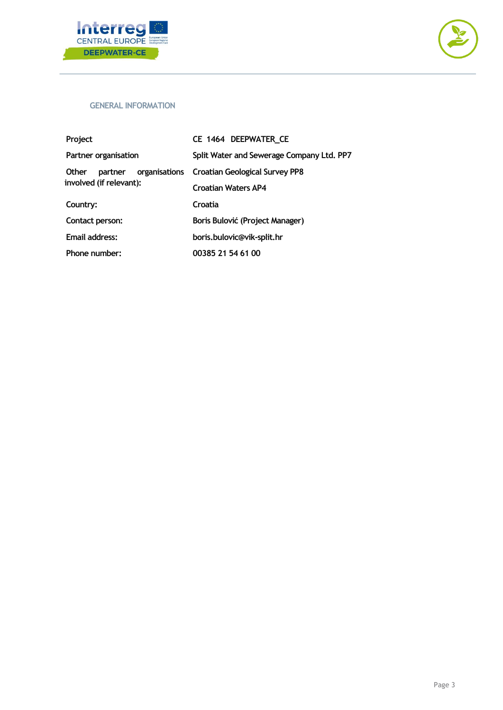



#### <span id="page-3-0"></span>**GENERAL INFORMATION**

| Project                 | CE 1464 DEEPWATER CE                         |
|-------------------------|----------------------------------------------|
| Partner organisation    | Split Water and Sewerage Company Ltd. PP7    |
| <b>Other</b><br>partner | organisations Croatian Geological Survey PP8 |
| involved (if relevant): | <b>Croatian Waters AP4</b>                   |
| Country:                | Croatia                                      |
| Contact person:         | Boris Bulović (Project Manager)              |
| Email address:          | boris.bulovic@vik-split.hr                   |
| Phone number:           | 00385 21 54 61 00                            |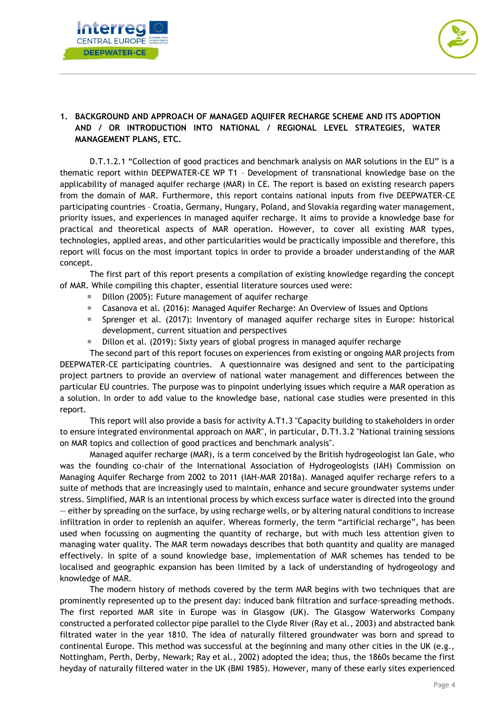



# <span id="page-4-0"></span>**1. BACKGROUND AND APPROACH OF MANAGED AQUIFER RECHARGE SCHEME AND ITS ADOPTION AND / OR INTRODUCTION INTO NATIONAL / REGIONAL LEVEL STRATEGIES, WATER MANAGEMENT PLANS, ETC.**

D.T.1.2.1 "Collection of good practices and benchmark analysis on MAR solutions in the EU" is a thematic report within DEEPWATER-CE WP T1 – Development of transnational knowledge base on the applicability of managed aquifer recharge (MAR) in CE. The report is based on existing research papers from the domain of MAR. Furthermore, this report contains national inputs from five DEEPWATER-CE participating countries – Croatia, Germany, Hungary, Poland, and Slovakia regarding water management, priority issues, and experiences in managed aquifer recharge. It aims to provide a knowledge base for practical and theoretical aspects of MAR operation. However, to cover all existing MAR types, technologies, applied areas, and other particularities would be practically impossible and therefore, this report will focus on the most important topics in order to provide a broader understanding of the MAR concept.

The first part of this report presents a compilation of existing knowledge regarding the concept of MAR. While compiling this chapter, essential literature sources used were:

- Dillon (2005): Future management of aquifer recharge
- Casanova et al. (2016): Managed Aquifer Recharge: An Overview of Issues and Options
- Sprenger et al. (2017): Inventory of managed aquifer recharge sites in Europe: historical development, current situation and perspectives
- Dillon et al. (2019): Sixty years of global progress in managed aquifer recharge

The second part of this report focuses on experiences from existing or ongoing MAR projects from DEEPWATER-CE participating countries. A questionnaire was designed and sent to the participating project partners to provide an overview of national water management and differences between the particular EU countries. The purpose was to pinpoint underlying issues which require a MAR operation as a solution. In order to add value to the knowledge base, national case studies were presented in this report.

This report will also provide a basis for activity A.T1.3 "Capacity building to stakeholders in order to ensure integrated environmental approach on MAR", in particular, D.T1.3.2 "National training sessions on MAR topics and collection of good practices and benchmark analysis".

Managed aquifer recharge (MAR), is a term conceived by the British hydrogeologist Ian Gale, who was the founding co-chair of the International Association of Hydrogeologists (IAH) Commission on Managing Aquifer Recharge from 2002 to 2011 (IAH-MAR 2018a). Managed aquifer recharge refers to a suite of methods that are increasingly used to maintain, enhance and secure groundwater systems under stress. Simplified, MAR is an intentional process by which excess surface water is directed into the ground — either by spreading on the surface, by using recharge wells, or by altering natural conditions to increase infiltration in order to replenish an aquifer. Whereas formerly, the term "artificial recharge", has been used when focussing on augmenting the quantity of recharge, but with much less attention given to managing water quality. The MAR term nowadays describes that both quantity and quality are managed effectively. In spite of a sound knowledge base, implementation of MAR schemes has tended to be localised and geographic expansion has been limited by a lack of understanding of hydrogeology and knowledge of MAR.

The modern history of methods covered by the term MAR begins with two techniques that are prominently represented up to the present day: induced bank filtration and surface-spreading methods. The first reported MAR site in Europe was in Glasgow (UK). The Glasgow Waterworks Company constructed a perforated collector pipe parallel to the Clyde River (Ray et al., 2003) and abstracted bank filtrated water in the year 1810. The idea of naturally filtered groundwater was born and spread to continental Europe. This method was successful at the beginning and many other cities in the UK (e.g., Nottingham, Perth, Derby, Newark; Ray et al., 2002) adopted the idea; thus, the 1860s became the first heyday of naturally filtered water in the UK (BMI 1985). However, many of these early sites experienced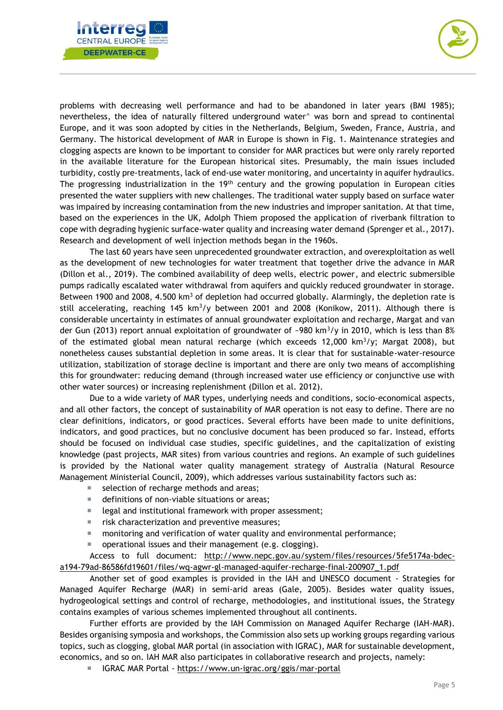



problems with decreasing well performance and had to be abandoned in later years (BMI 1985); nevertheless, the idea of naturally filtered underground water^ was born and spread to continental Europe, and it was soon adopted by cities in the Netherlands, Belgium, Sweden, France, Austria, and Germany. The historical development of MAR in Europe is shown in Fig. 1. Maintenance strategies and clogging aspects are known to be important to consider for MAR practices but were only rarely reported in the available literature for the European historical sites. Presumably, the main issues included turbidity, costly pre-treatments, lack of end-use water monitoring, and uncertainty in aquifer hydraulics. The progressing industrialization in the 19<sup>th</sup> century and the growing population in European cities presented the water suppliers with new challenges. The traditional water supply based on surface water was impaired by increasing contamination from the new industries and improper sanitation. At that time, based on the experiences in the UK, Adolph Thiem proposed the application of riverbank filtration to cope with degrading hygienic surface-water quality and increasing water demand (Sprenger et al., 2017). Research and development of well injection methods began in the 1960s.

The last 60 years have seen unprecedented groundwater extraction, and overexploitation as well as the development of new technologies for water treatment that together drive the advance in MAR (Dillon et al., 2019). The combined availability of deep wells, electric power, and electric submersible pumps radically escalated water withdrawal from aquifers and quickly reduced groundwater in storage. Between 1900 and 2008, 4.500 km<sup>3</sup> of depletion had occurred globally. Alarmingly, the depletion rate is still accelerating, reaching  $145 \text{ km}^3/\text{y}$  between 2001 and 2008 (Konikow, 2011). Although there is considerable uncertainty in estimates of annual groundwater exploitation and recharge, Margat and van der Gun (2013) report annual exploitation of groundwater of ~980 km<sup>3</sup>/y in 2010, which is less than 8% of the estimated global mean natural recharge (which exceeds  $12,000$  km<sup>3</sup>/y; Margat 2008), but nonetheless causes substantial depletion in some areas. It is clear that for sustainable-water-resource utilization, stabilization of storage decline is important and there are only two means of accomplishing this for groundwater: reducing demand (through increased water use efficiency or conjunctive use with other water sources) or increasing replenishment (Dillon et al. 2012).

Due to a wide variety of MAR types, underlying needs and conditions, socio-economical aspects, and all other factors, the concept of sustainability of MAR operation is not easy to define. There are no clear definitions, indicators, or good practices. Several efforts have been made to unite definitions, indicators, and good practices, but no conclusive document has been produced so far. Instead, efforts should be focused on individual case studies, specific guidelines, and the capitalization of existing knowledge (past projects, MAR sites) from various countries and regions. An example of such guidelines is provided by the National water quality management strategy of Australia (Natural Resource Management Ministerial Council, 2009), which addresses various sustainability factors such as:

- selection of recharge methods and areas;
- definitions of non-viable situations or areas;
- $\blacksquare$  legal and institutional framework with proper assessment;
- **F** risk characterization and preventive measures;
- monitoring and verification of water quality and environmental performance;
- operational issues and their management (e.g. clogging).

Access to full document: [http://www.nepc.gov.au/system/files/resources/5fe5174a-bdec](http://www.nepc.gov.au/system/files/resources/5fe5174a-bdec-a194-79ad-86586fd19601/files/wq-agwr-gl-managed-aquifer-recharge-final-200907_1.pdf)[a194-79ad-86586fd19601/files/wq-agwr-gl-managed-aquifer-recharge-final-200907\\_1.pdf](http://www.nepc.gov.au/system/files/resources/5fe5174a-bdec-a194-79ad-86586fd19601/files/wq-agwr-gl-managed-aquifer-recharge-final-200907_1.pdf)

Another set of good examples is provided in the IAH and UNESCO document - Strategies for Managed Aquifer Recharge (MAR) in semi-arid areas (Gale, 2005). Besides water quality issues, hydrogeological settings and control of recharge, methodologies, and institutional issues, the Strategy contains examples of various schemes implemented throughout all continents.

Further efforts are provided by the IAH Commission on Managed Aquifer Recharge (IAH-MAR). Besides organising symposia and workshops, the Commission also sets up working groups regarding various topics, such as clogging, global MAR portal (in association with IGRAC), MAR for sustainable development, economics, and so on. IAH MAR also participates in collaborative research and projects, namely:

■ IGRAC MAR Portal - <https://www.un-igrac.org/ggis/mar-portal>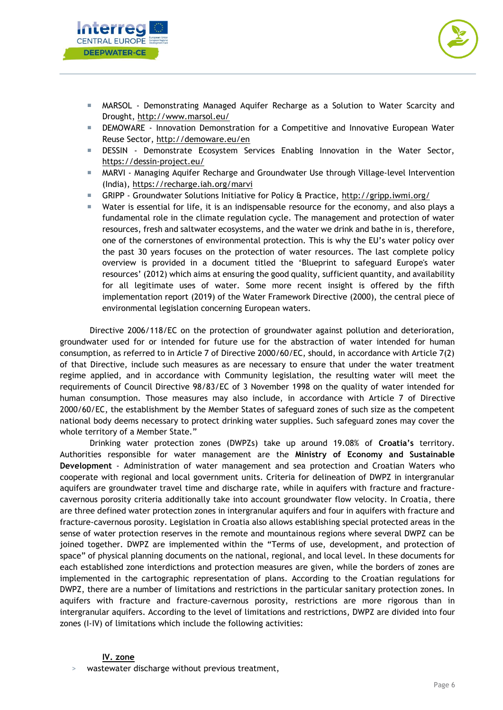



- MARSOL Demonstrating Managed Aquifer Recharge as a Solution to Water Scarcity and Drought,<http://www.marsol.eu/>
- DEMOWARE Innovation Demonstration for a Competitive and Innovative European Water Reuse Sector,<http://demoware.eu/en>
- DESSIN Demonstrate Ecosystem Services Enabling Innovation in the Water Sector, <https://dessin-project.eu/>
- MARVI Managing Aquifer Recharge and Groundwater Use through Village-level Intervention (India),<https://recharge.iah.org/marvi>
- GRIPP Groundwater Solutions Initiative for Policy & Practice,<http://gripp.iwmi.org/>
- Water is essential for life, it is an indispensable resource for the economy, and also plays a fundamental role in the climate regulation cycle. The management and protection of water resources, fresh and saltwater ecosystems, and the water we drink and bathe in is, therefore, one of the cornerstones of environmental protection. This is why the EU's water policy over the past 30 years focuses on the protection of water resources. The last complete policy overview is provided in a document titled the 'Blueprint to safeguard Europe's water resources' (2012) which aims at ensuring the good quality, sufficient quantity, and availability for all legitimate uses of water. Some more recent insight is offered by the fifth implementation report (2019) of the Water Framework Directive (2000), the central piece of environmental legislation concerning European waters.

Directive 2006/118/EC on the protection of groundwater against pollution and deterioration, groundwater used for or intended for future use for the abstraction of water intended for human consumption, as referred to in Article 7 of Directive 2000/60/EC, should, in accordance with Article 7(2) of that Directive, include such measures as are necessary to ensure that under the water treatment regime applied, and in accordance with Community legislation, the resulting water will meet the requirements of Council Directive 98/83/EC of 3 November 1998 on the quality of water intended for human consumption. Those measures may also include, in accordance with Article 7 of Directive 2000/60/EC, the establishment by the Member States of safeguard zones of such size as the competent national body deems necessary to protect drinking water supplies. Such safeguard zones may cover the whole territory of a Member State."

Drinking water protection zones (DWPZs) take up around 19.08% of **Croatia's** territory. Authorities responsible for water management are the **Ministry of Economy and Sustainable Development** - Administration of water management and sea protection and Croatian Waters who cooperate with regional and local government units. Criteria for delineation of DWPZ in intergranular aquifers are groundwater travel time and discharge rate, while in aquifers with fracture and fracturecavernous porosity criteria additionally take into account groundwater flow velocity. In Croatia, there are three defined water protection zones in intergranular aquifers and four in aquifers with fracture and fracture-cavernous porosity. Legislation in Croatia also allows establishing special protected areas in the sense of water protection reserves in the remote and mountainous regions where several DWPZ can be joined together. DWPZ are implemented within the "Terms of use, development, and protection of space" of physical planning documents on the national, regional, and local level. In these documents for each established zone interdictions and protection measures are given, while the borders of zones are implemented in the cartographic representation of plans. According to the Croatian regulations for DWPZ, there are a number of limitations and restrictions in the particular sanitary protection zones. In aquifers with fracture and fracture-cavernous porosity, restrictions are more rigorous than in intergranular aquifers. According to the level of limitations and restrictions, DWPZ are divided into four zones (I-IV) of limitations which include the following activities:

#### **IV. zone**

wastewater discharge without previous treatment,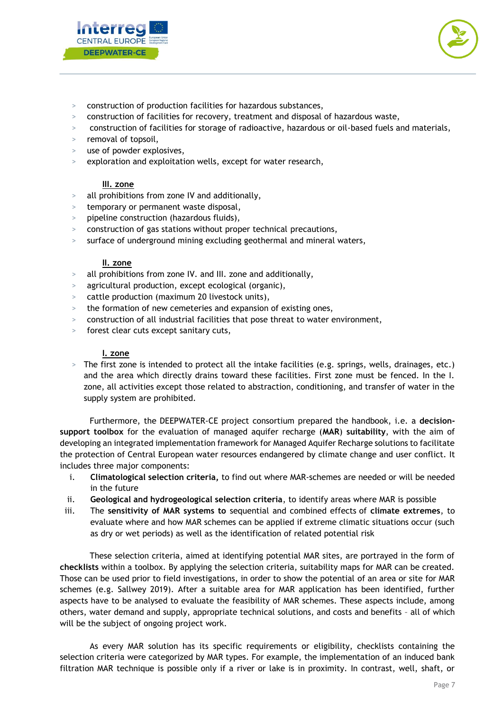



- > construction of production facilities for hazardous substances,
- > construction of facilities for recovery, treatment and disposal of hazardous waste,
- > construction of facilities for storage of radioactive, hazardous or oil-based fuels and materials,
- removal of topsoil,
- use of powder explosives,
- > exploration and exploitation wells, except for water research,

## **III. zone**

- > all prohibitions from zone IV and additionally,
- > temporary or permanent waste disposal,
- > pipeline construction (hazardous fluids),
- > construction of gas stations without proper technical precautions,
- surface of underground mining excluding geothermal and mineral waters,

#### **II. zone**

- > all prohibitions from zone IV. and III. zone and additionally,
- > agricultural production, except ecological (organic),
- cattle production (maximum 20 livestock units),
- the formation of new cemeteries and expansion of existing ones,
- > construction of all industrial facilities that pose threat to water environment,
- forest clear cuts except sanitary cuts,

## **I. zone**

> The first zone is intended to protect all the intake facilities (e.g. springs, wells, drainages, etc.) and the area which directly drains toward these facilities. First zone must be fenced. In the I. zone, all activities except those related to abstraction, conditioning, and transfer of water in the supply system are prohibited.

Furthermore, the DEEPWATER-CE project consortium prepared the handbook, i.e. a **decisionsupport toolbox** for the evaluation of managed aquifer recharge (**MAR**) **suitability**, with the aim of developing an integrated implementation framework for Managed Aquifer Recharge solutions to facilitate the protection of Central European water resources endangered by climate change and user conflict. It includes three major components:

- i. **Climatological selection criteria,** to find out where MAR-schemes are needed or will be needed in the future
- ii. **Geological and hydrogeological selection criteria**, to identify areas where MAR is possible
- iii. The **sensitivity of MAR systems to** sequential and combined effects of **climate extremes**, to evaluate where and how MAR schemes can be applied if extreme climatic situations occur (such as dry or wet periods) as well as the identification of related potential risk

These selection criteria, aimed at identifying potential MAR sites, are portrayed in the form of **checklists** within a toolbox. By applying the selection criteria, suitability maps for MAR can be created. Those can be used prior to field investigations, in order to show the potential of an area or site for MAR schemes (e.g. Sallwey 2019). After a suitable area for MAR application has been identified, further aspects have to be analysed to evaluate the feasibility of MAR schemes. These aspects include, among others, water demand and supply, appropriate technical solutions, and costs and benefits – all of which will be the subject of ongoing project work.

As every MAR solution has its specific requirements or eligibility, checklists containing the selection criteria were categorized by MAR types. For example, the implementation of an induced bank filtration MAR technique is possible only if a river or lake is in proximity. In contrast, well, shaft, or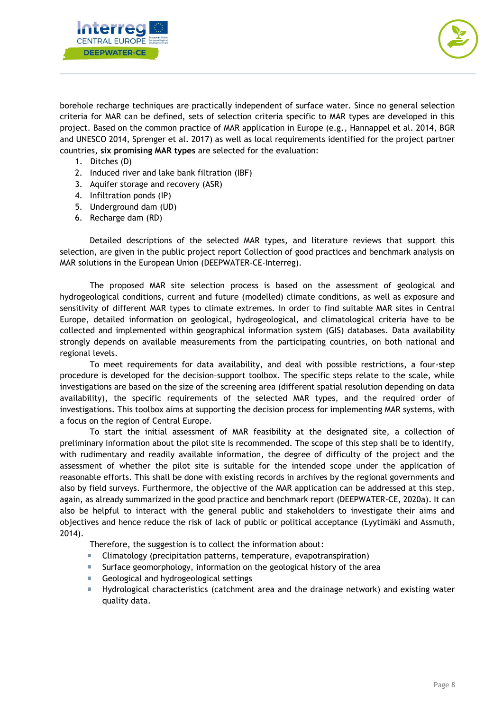



borehole recharge techniques are practically independent of surface water. Since no general selection criteria for MAR can be defined, sets of selection criteria specific to MAR types are developed in this project. Based on the common practice of MAR application in Europe (e.g., Hannappel et al. 2014, BGR and UNESCO 2014, Sprenger et al. 2017) as well as local requirements identified for the project partner countries, **six promising MAR types** are selected for the evaluation:

- 1. Ditches (D)
- 2. Induced river and lake bank filtration (IBF)
- 3. Aquifer storage and recovery (ASR)
- 4. Infiltration ponds (IP)
- 5. Underground dam (UD)
- 6. Recharge dam (RD)

Detailed descriptions of the selected MAR types, and literature reviews that support this selection, are given in the public project report Collection of good practices and benchmark analysis on MAR solutions in the European Union (DEEPWATER-CE-Interreg).

The proposed MAR site selection process is based on the assessment of geological and hydrogeological conditions, current and future (modelled) climate conditions, as well as exposure and sensitivity of different MAR types to climate extremes. In order to find suitable MAR sites in Central Europe, detailed information on geological, hydrogeological, and climatological criteria have to be collected and implemented within geographical information system (GIS) databases. Data availability strongly depends on available measurements from the participating countries, on both national and regional levels.

To meet requirements for data availability, and deal with possible restrictions, a four-step procedure is developed for the decision–support toolbox. The specific steps relate to the scale, while investigations are based on the size of the screening area (different spatial resolution depending on data availability), the specific requirements of the selected MAR types, and the required order of investigations. This toolbox aims at supporting the decision process for implementing MAR systems, with a focus on the region of Central Europe.

To start the initial assessment of MAR feasibility at the designated site, a collection of preliminary information about the pilot site is recommended. The scope of this step shall be to identify, with rudimentary and readily available information, the degree of difficulty of the project and the assessment of whether the pilot site is suitable for the intended scope under the application of reasonable efforts. This shall be done with existing records in archives by the regional governments and also by field surveys. Furthermore, the objective of the MAR application can be addressed at this step, again, as already summarized in the good practice and benchmark report (DEEPWATER-CE, 2020a). It can also be helpful to interact with the general public and stakeholders to investigate their aims and objectives and hence reduce the risk of lack of public or political acceptance (Lyytimäki and Assmuth, 2014).

Therefore, the suggestion is to collect the information about:

- Climatology (precipitation patterns, temperature, evapotranspiration)
- Surface geomorphology, information on the geological history of the area
- Geological and hydrogeological settings
- Hydrological characteristics (catchment area and the drainage network) and existing water quality data.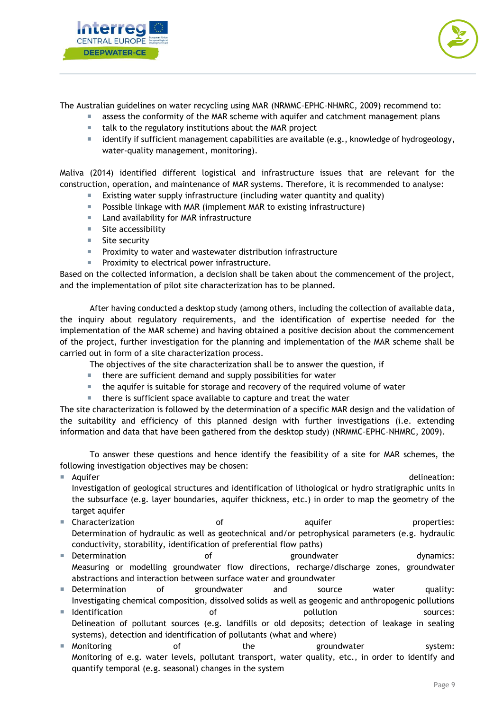



The Australian guidelines on water recycling using MAR (NRMMC–EPHC–NHMRC, 2009) recommend to:

- assess the conformity of the MAR scheme with aquifer and catchment management plans
- $\blacksquare$  talk to the regulatory institutions about the MAR project
- $\blacksquare$  identify if sufficient management capabilities are available (e.g., knowledge of hydrogeology, water-quality management, monitoring).

Maliva (2014) identified different logistical and infrastructure issues that are relevant for the construction, operation, and maintenance of MAR systems. Therefore, it is recommended to analyse:

- Existing water supply infrastructure (including water quantity and quality)
- **Possible linkage with MAR (implement MAR to existing infrastructure)**
- Land availability for MAR infrastructure
- Site accessibility
- Site security
- **Proximity to water and wastewater distribution infrastructure**
- Proximity to electrical power infrastructure.

Based on the collected information, a decision shall be taken about the commencement of the project, and the implementation of pilot site characterization has to be planned.

After having conducted a desktop study (among others, including the collection of available data, the inquiry about regulatory requirements, and the identification of expertise needed for the implementation of the MAR scheme) and having obtained a positive decision about the commencement of the project, further investigation for the planning and implementation of the MAR scheme shall be carried out in form of a site characterization process.

The objectives of the site characterization shall be to answer the question, if

- $\blacksquare$  there are sufficient demand and supply possibilities for water
- the aquifer is suitable for storage and recovery of the required volume of water
- there is sufficient space available to capture and treat the water

The site characterization is followed by the determination of a specific MAR design and the validation of the suitability and efficiency of this planned design with further investigations (i.e. extending information and data that have been gathered from the desktop study) (NRMMC–EPHC–NHMRC, 2009).

To answer these questions and hence identify the feasibility of a site for MAR schemes, the following investigation objectives may be chosen:

- **Aquifer delineation:** Aquifer delineation: **Alternation: Alternation: Alternation: Alternation: Alternation:** Investigation of geological structures and identification of lithological or hydro stratigraphic units in the subsurface (e.g. layer boundaries, aquifer thickness, etc.) in order to map the geometry of the target aquifer
- **Characterization** and a set of the control aquifer and properties: Determination of hydraulic as well as geotechnical and/or petrophysical parameters (e.g. hydraulic conductivity, storability, identification of preferential flow paths)
- **Determination and increment of the series of the groundwater control dynamics:** Measuring or modelling groundwater flow directions, recharge/discharge zones, groundwater abstractions and interaction between surface water and groundwater
- **Determination of groundwater and source water quality:** Investigating chemical composition, dissolved solids as well as geogenic and anthropogenic pollutions
- Indentification and the of the pollution sources: Delineation of pollutant sources (e.g. landfills or old deposits; detection of leakage in sealing systems), detection and identification of pollutants (what and where)
- **Monitoring and System:** The the groundwater system: Monitoring of e.g. water levels, pollutant transport, water quality, etc., in order to identify and quantify temporal (e.g. seasonal) changes in the system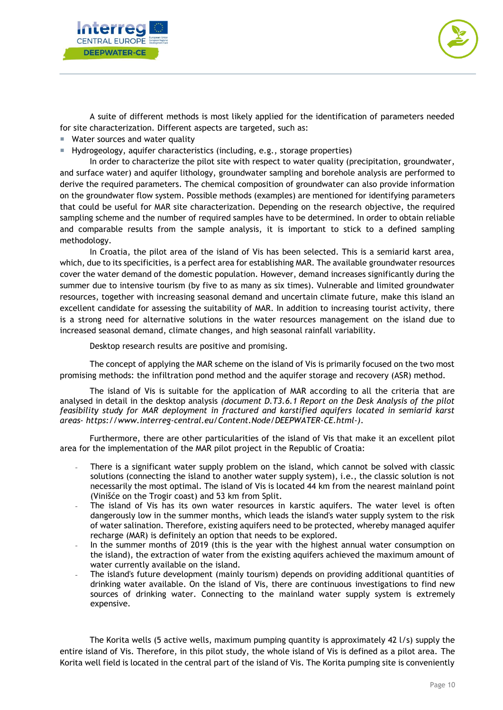



A suite of different methods is most likely applied for the identification of parameters needed for site characterization. Different aspects are targeted, such as:

- Water sources and water quality
- Hydrogeology, aquifer characteristics (including, e.g., storage properties)

In order to characterize the pilot site with respect to water quality (precipitation, groundwater, and surface water) and aquifer lithology, groundwater sampling and borehole analysis are performed to derive the required parameters. The chemical composition of groundwater can also provide information on the groundwater flow system. Possible methods (examples) are mentioned for identifying parameters that could be useful for MAR site characterization. Depending on the research objective, the required sampling scheme and the number of required samples have to be determined. In order to obtain reliable and comparable results from the sample analysis, it is important to stick to a defined sampling methodology.

In Croatia, the pilot area of the island of Vis has been selected. This is a semiarid karst area, which, due to its specificities, is a perfect area for establishing MAR. The available groundwater resources cover the water demand of the domestic population. However, demand increases significantly during the summer due to intensive tourism (by five to as many as six times). Vulnerable and limited groundwater resources, together with increasing seasonal demand and uncertain climate future, make this island an excellent candidate for assessing the suitability of MAR. In addition to increasing tourist activity, there is a strong need for alternative solutions in the water resources management on the island due to increased seasonal demand, climate changes, and high seasonal rainfall variability.

Desktop research results are positive and promising.

The concept of applying the MAR scheme on the island of Vis is primarily focused on the two most promising methods: the infiltration pond method and the aquifer storage and recovery (ASR) method.

The island of Vis is suitable for the application of MAR according to all the criteria that are analysed in detail in the desktop analysis *(document D.T3.6.1 Report on the Desk Analysis of the pilot feasibility study for MAR deployment in fractured and karstified aquifers located in semiarid karst areas- https://www.interreg-central.eu/Content.Node/DEEPWATER-CE.html-)*.

Furthermore, there are other particularities of the island of Vis that make it an excellent pilot area for the implementation of the MAR pilot project in the Republic of Croatia:

- There is a significant water supply problem on the island, which cannot be solved with classic solutions (connecting the island to another water supply system), i.e., the classic solution is not necessarily the most optimal. The island of Vis is located 44 km from the nearest mainland point (Vinišće on the Trogir coast) and 53 km from Split.
- The island of Vis has its own water resources in karstic aquifers. The water level is often dangerously low in the summer months, which leads the island's water supply system to the risk of water salination. Therefore, existing aquifers need to be protected, whereby managed aquifer recharge (MAR) is definitely an option that needs to be explored.
- In the summer months of 2019 (this is the year with the highest annual water consumption on the island), the extraction of water from the existing aquifers achieved the maximum amount of water currently available on the island.
- The island's future development (mainly tourism) depends on providing additional quantities of drinking water available. On the island of Vis, there are continuous investigations to find new sources of drinking water. Connecting to the mainland water supply system is extremely expensive.

The Korita wells (5 active wells, maximum pumping quantity is approximately 42 l/s) supply the entire island of Vis. Therefore, in this pilot study, the whole island of Vis is defined as a pilot area. The Korita well field is located in the central part of the island of Vis. The Korita pumping site is conveniently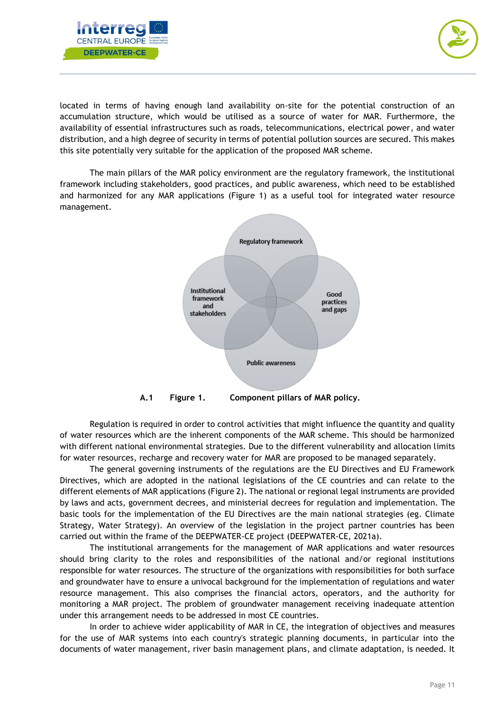



located in terms of having enough land availability on-site for the potential construction of an accumulation structure, which would be utilised as a source of water for MAR. Furthermore, the availability of essential infrastructures such as roads, telecommunications, electrical power, and water distribution, and a high degree of security in terms of potential pollution sources are secured. This makes this site potentially very suitable for the application of the proposed MAR scheme.

The main pillars of the MAR policy environment are the regulatory framework, the institutional framework including stakeholders, good practices, and public awareness, which need to be established and harmonized for any MAR applications (Figure 1) as a useful tool for integrated water resource management.



Regulation is required in order to control activities that might influence the quantity and quality of water resources which are the inherent components of the MAR scheme. This should be harmonized with different national environmental strategies. Due to the different vulnerability and allocation limits for water resources, recharge and recovery water for MAR are proposed to be managed separately.

The general governing instruments of the regulations are the EU Directives and EU Framework Directives, which are adopted in the national legislations of the CE countries and can relate to the different elements of MAR applications (Figure 2). The national or regional legal instruments are provided by laws and acts, government decrees, and ministerial decrees for regulation and implementation. The basic tools for the implementation of the EU Directives are the main national strategies (eg. Climate Strategy, Water Strategy). An overview of the legislation in the project partner countries has been carried out within the frame of the DEEPWATER-CE project (DEEPWATER-CE, 2021a).

The institutional arrangements for the management of MAR applications and water resources should bring clarity to the roles and responsibilities of the national and/or regional institutions responsible for water resources. The structure of the organizations with responsibilities for both surface and groundwater have to ensure a univocal background for the implementation of regulations and water resource management. This also comprises the financial actors, operators, and the authority for monitoring a MAR project. The problem of groundwater management receiving inadequate attention under this arrangement needs to be addressed in most CE countries.

In order to achieve wider applicability of MAR in CE, the integration of objectives and measures for the use of MAR systems into each country's strategic planning documents, in particular into the documents of water management, river basin management plans, and climate adaptation, is needed. It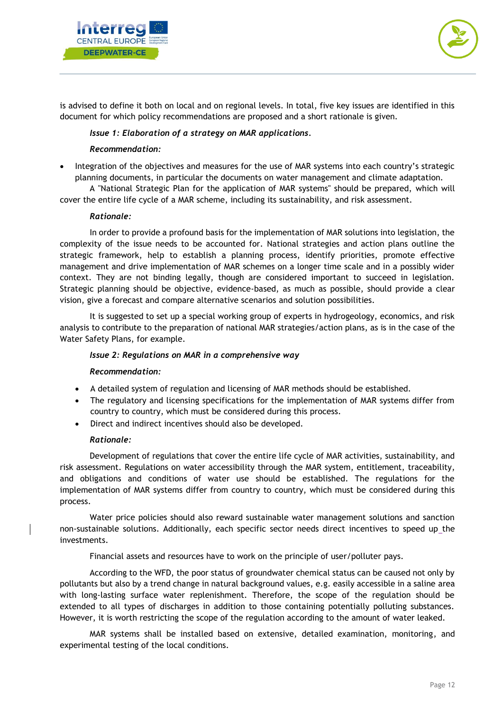



is advised to define it both on local and on regional levels. In total, five key issues are identified in this document for which policy recommendations are proposed and a short rationale is given.

## *Issue 1: Elaboration of a strategy on MAR applications.*

#### *Recommendation:*

• Integration of the objectives and measures for the use of MAR systems into each country's strategic planning documents, in particular the documents on water management and climate adaptation.

A "National Strategic Plan for the application of MAR systems" should be prepared, which will cover the entire life cycle of a MAR scheme, including its sustainability, and risk assessment.

#### *Rationale:*

In order to provide a profound basis for the implementation of MAR solutions into legislation, the complexity of the issue needs to be accounted for. National strategies and action plans outline the strategic framework, help to establish a planning process, identify priorities, promote effective management and drive implementation of MAR schemes on a longer time scale and in a possibly wider context. They are not binding legally, though are considered important to succeed in legislation. Strategic planning should be objective, evidence-based, as much as possible, should provide a clear vision, give a forecast and compare alternative scenarios and solution possibilities.

It is suggested to set up a special working group of experts in hydrogeology, economics, and risk analysis to contribute to the preparation of national MAR strategies/action plans, as is in the case of the Water Safety Plans, for example.

#### *Issue 2: Regulations on MAR in a comprehensive way*

#### *Recommendation:*

- A detailed system of regulation and licensing of MAR methods should be established.
- The regulatory and licensing specifications for the implementation of MAR systems differ from country to country, which must be considered during this process.
- Direct and indirect incentives should also be developed.

## *Rationale:*

Development of regulations that cover the entire life cycle of MAR activities, sustainability, and risk assessment. Regulations on water accessibility through the MAR system, entitlement, traceability, and obligations and conditions of water use should be established. The regulations for the implementation of MAR systems differ from country to country, which must be considered during this process.

Water price policies should also reward sustainable water management solutions and sanction non-sustainable solutions. Additionally, each specific sector needs direct incentives to speed up the investments.

Financial assets and resources have to work on the principle of user/polluter pays.

According to the WFD, the poor status of groundwater chemical status can be caused not only by pollutants but also by a trend change in natural background values, e.g. easily accessible in a saline area with long-lasting surface water replenishment. Therefore, the scope of the regulation should be extended to all types of discharges in addition to those containing potentially polluting substances. However, it is worth restricting the scope of the regulation according to the amount of water leaked.

MAR systems shall be installed based on extensive, detailed examination, monitoring, and experimental testing of the local conditions.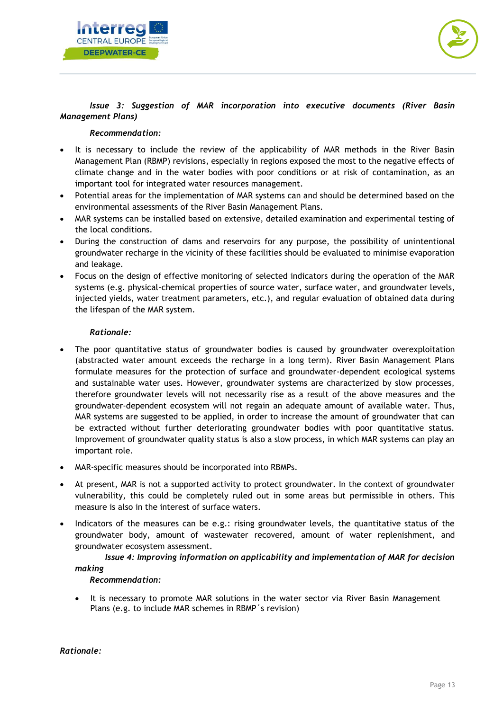



## *Issue 3: Suggestion of MAR incorporation into executive documents (River Basin Management Plans)*

## *Recommendation:*

- It is necessary to include the review of the applicability of MAR methods in the River Basin Management Plan (RBMP) revisions, especially in regions exposed the most to the negative effects of climate change and in the water bodies with poor conditions or at risk of contamination, as an important tool for integrated water resources management.
- Potential areas for the implementation of MAR systems can and should be determined based on the environmental assessments of the River Basin Management Plans.
- MAR systems can be installed based on extensive, detailed examination and experimental testing of the local conditions.
- During the construction of dams and reservoirs for any purpose, the possibility of unintentional groundwater recharge in the vicinity of these facilities should be evaluated to minimise evaporation and leakage.
- Focus on the design of effective monitoring of selected indicators during the operation of the MAR systems (e.g. physical-chemical properties of source water, surface water, and groundwater levels, injected yields, water treatment parameters, etc.), and regular evaluation of obtained data during the lifespan of the MAR system.

## *Rationale:*

- The poor quantitative status of groundwater bodies is caused by groundwater overexploitation (abstracted water amount exceeds the recharge in a long term). River Basin Management Plans formulate measures for the protection of surface and groundwater-dependent ecological systems and sustainable water uses. However, groundwater systems are characterized by slow processes, therefore groundwater levels will not necessarily rise as a result of the above measures and the groundwater-dependent ecosystem will not regain an adequate amount of available water. Thus, MAR systems are suggested to be applied, in order to increase the amount of groundwater that can be extracted without further deteriorating groundwater bodies with poor quantitative status. Improvement of groundwater quality status is also a slow process, in which MAR systems can play an important role.
- MAR-specific measures should be incorporated into RBMPs.
- At present, MAR is not a supported activity to protect groundwater. In the context of groundwater vulnerability, this could be completely ruled out in some areas but permissible in others. This measure is also in the interest of surface waters.
- Indicators of the measures can be e.g.: rising groundwater levels, the quantitative status of the groundwater body, amount of wastewater recovered, amount of water replenishment, and groundwater ecosystem assessment.

# *Issue 4: Improving information on applicability and implementation of MAR for decision making*

## *Recommendation:*

• It is necessary to promote MAR solutions in the water sector via River Basin Management Plans (e.g. to include MAR schemes in RBMP´s revision)

*Rationale:*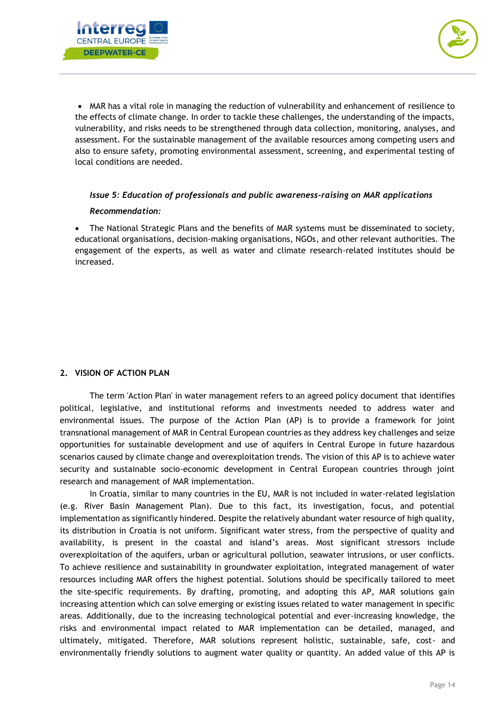



• MAR has a vital role in managing the reduction of vulnerability and enhancement of resilience to the effects of climate change. In order to tackle these challenges, the understanding of the impacts, vulnerability, and risks needs to be strengthened through data collection, monitoring, analyses, and assessment. For the sustainable management of the available resources among competing users and also to ensure safety, promoting environmental assessment, screening, and experimental testing of local conditions are needed.

## *Issue 5: Education of professionals and public awareness-raising on MAR applications*

## *Recommendation:*

• The National Strategic Plans and the benefits of MAR systems must be disseminated to society, educational organisations, decision-making organisations, NGOs, and other relevant authorities. The engagement of the experts, as well as water and climate research-related institutes should be increased.

# <span id="page-14-0"></span>**2. VISION OF ACTION PLAN**

The term 'Action Plan' in water management refers to an agreed policy document that identifies political, legislative, and institutional reforms and investments needed to address water and environmental issues. The purpose of the Action Plan (AP) is to provide a framework for joint transnational management of MAR in Central European countries as they address key challenges and seize opportunities for sustainable development and use of aquifers in Central Europe in future hazardous scenarios caused by climate change and overexploitation trends. The vision of this AP is to achieve water security and sustainable socio-economic development in Central European countries through joint research and management of MAR implementation.

In Croatia, similar to many countries in the EU, MAR is not included in water-related legislation (e.g. River Basin Management Plan). Due to this fact, its investigation, focus, and potential implementation as significantly hindered. Despite the relatively abundant water resource of high quality, its distribution in Croatia is not uniform. Significant water stress, from the perspective of quality and availability, is present in the coastal and island's areas. Most significant stressors include overexploitation of the aquifers, urban or agricultural pollution, seawater intrusions, or user conflicts. To achieve resilience and sustainability in groundwater exploitation, integrated management of water resources including MAR offers the highest potential. Solutions should be specifically tailored to meet the site-specific requirements. By drafting, promoting, and adopting this AP, MAR solutions gain increasing attention which can solve emerging or existing issues related to water management in specific areas. Additionally, due to the increasing technological potential and ever-increasing knowledge, the risks and environmental impact related to MAR implementation can be detailed, managed, and ultimately, mitigated. Therefore, MAR solutions represent holistic, sustainable, safe, cost- and environmentally friendly solutions to augment water quality or quantity. An added value of this AP is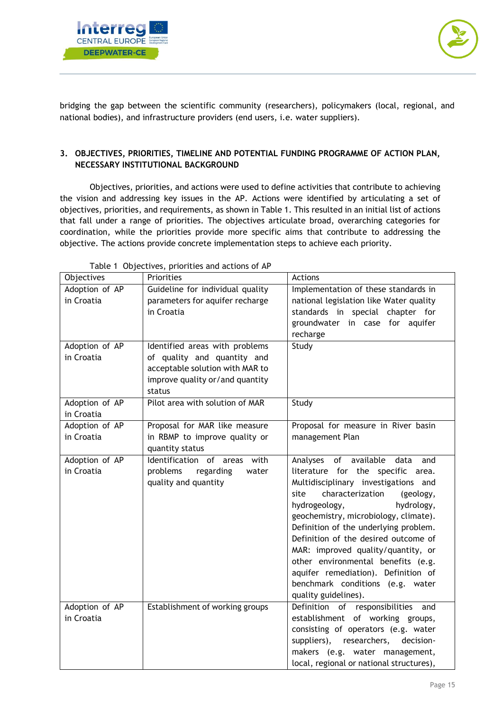



bridging the gap between the scientific community (researchers), policymakers (local, regional, and national bodies), and infrastructure providers (end users, i.e. water suppliers).

# <span id="page-15-0"></span>**3. OBJECTIVES, PRIORITIES, TIMELINE AND POTENTIAL FUNDING PROGRAMME OF ACTION PLAN, NECESSARY INSTITUTIONAL BACKGROUND**

Objectives, priorities, and actions were used to define activities that contribute to achieving the vision and addressing key issues in the AP. Actions were identified by articulating a set of objectives, priorities, and requirements, as shown in Table 1. This resulted in an initial list of actions that fall under a range of priorities. The objectives articulate broad, overarching categories for coordination, while the priorities provide more specific aims that contribute to addressing the objective. The actions provide concrete implementation steps to achieve each priority.

| Objectives     | $\frac{1}{2}$<br>Priorities      | Actions                                  |
|----------------|----------------------------------|------------------------------------------|
| Adoption of AP | Guideline for individual quality | Implementation of these standards in     |
| in Croatia     | parameters for aquifer recharge  | national legislation like Water quality  |
|                | in Croatia                       | standards in special chapter for         |
|                |                                  | groundwater in case for aquifer          |
|                |                                  | recharge                                 |
| Adoption of AP | Identified areas with problems   | Study                                    |
| in Croatia     | of quality and quantity and      |                                          |
|                | acceptable solution with MAR to  |                                          |
|                | improve quality or/and quantity  |                                          |
|                | status                           |                                          |
| Adoption of AP | Pilot area with solution of MAR  | Study                                    |
| in Croatia     |                                  |                                          |
| Adoption of AP | Proposal for MAR like measure    | Proposal for measure in River basin      |
| in Croatia     | in RBMP to improve quality or    | management Plan                          |
|                | quantity status                  |                                          |
| Adoption of AP | Identification of areas with     | Analyses of available data<br>and        |
| in Croatia     | problems regarding<br>water      | literature for the specific area.        |
|                | quality and quantity             | Multidisciplinary investigations and     |
|                |                                  | characterization<br>site<br>(geology,    |
|                |                                  | hydrogeology,<br>hydrology,              |
|                |                                  | geochemistry, microbiology, climate).    |
|                |                                  | Definition of the underlying problem.    |
|                |                                  | Definition of the desired outcome of     |
|                |                                  | MAR: improved quality/quantity, or       |
|                |                                  | other environmental benefits (e.g.       |
|                |                                  | aquifer remediation). Definition of      |
|                |                                  | benchmark conditions (e.g. water         |
|                |                                  | quality guidelines).                     |
| Adoption of AP | Establishment of working groups  | Definition of responsibilities and       |
| in Croatia     |                                  | establishment of working groups,         |
|                |                                  | consisting of operators (e.g. water      |
|                |                                  | suppliers), researchers, decision-       |
|                |                                  | makers (e.g. water management,           |
|                |                                  | local, regional or national structures), |

Table 1 Objectives, priorities and actions of AP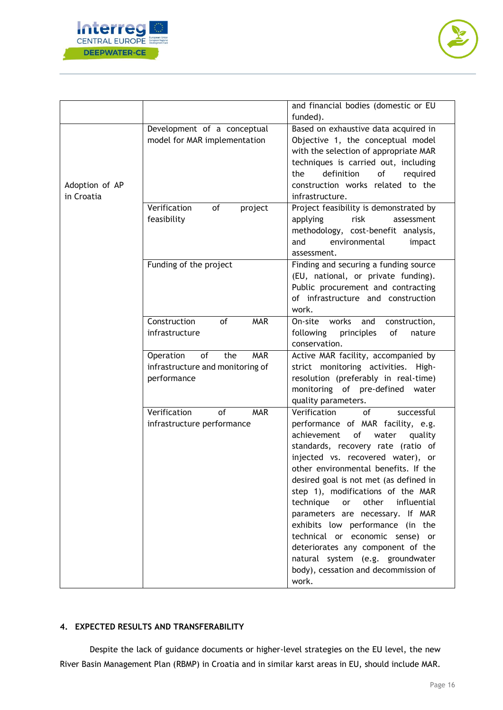



|                              |                                                                                         | and financial bodies (domestic or EU<br>funded).                                                                                                                                                                                                                                                                                                                                                                                                                                                                                                                                                 |
|------------------------------|-----------------------------------------------------------------------------------------|--------------------------------------------------------------------------------------------------------------------------------------------------------------------------------------------------------------------------------------------------------------------------------------------------------------------------------------------------------------------------------------------------------------------------------------------------------------------------------------------------------------------------------------------------------------------------------------------------|
| Adoption of AP<br>in Croatia | Development of a conceptual<br>model for MAR implementation                             | Based on exhaustive data acquired in<br>Objective 1, the conceptual model<br>with the selection of appropriate MAR<br>techniques is carried out, including<br>definition<br>of<br>the<br>required<br>construction works related to the<br>infrastructure.                                                                                                                                                                                                                                                                                                                                        |
|                              | Verification<br>of<br>project<br>feasibility                                            | Project feasibility is demonstrated by<br>applying<br>risk<br>assessment<br>methodology, cost-benefit analysis,<br>environmental<br>and<br>impact<br>assessment.                                                                                                                                                                                                                                                                                                                                                                                                                                 |
|                              | Funding of the project                                                                  | Finding and securing a funding source<br>(EU, national, or private funding).<br>Public procurement and contracting<br>of infrastructure and construction<br>work.                                                                                                                                                                                                                                                                                                                                                                                                                                |
|                              | Construction<br>of<br><b>MAR</b><br>infrastructure                                      | works<br>On-site<br>and<br>construction,<br>following<br>principles<br>of<br>nature<br>conservation.                                                                                                                                                                                                                                                                                                                                                                                                                                                                                             |
|                              | of<br><b>MAR</b><br>Operation<br>the<br>infrastructure and monitoring of<br>performance | Active MAR facility, accompanied by<br>strict monitoring activities. High-<br>resolution (preferably in real-time)<br>monitoring of pre-defined<br>water<br>quality parameters.                                                                                                                                                                                                                                                                                                                                                                                                                  |
|                              | Verification<br>of<br><b>MAR</b><br>infrastructure performance                          | Verification<br>of<br>successful<br>performance of MAR facility, e.g.<br>achievement<br>quality<br>of<br>water<br>standards, recovery rate (ratio of<br>injected vs. recovered water), or<br>other environmental benefits. If the<br>desired goal is not met (as defined in<br>step 1), modifications of the MAR<br>other<br>influential<br>technique<br>or<br>parameters are necessary. If MAR<br>exhibits low performance (in the<br>technical or economic sense) or<br>deteriorates any component of the<br>natural system (e.g. groundwater<br>body), cessation and decommission of<br>work. |

# <span id="page-16-0"></span>**4. EXPECTED RESULTS AND TRANSFERABILITY**

Despite the lack of guidance documents or higher-level strategies on the EU level, the new River Basin Management Plan (RBMP) in Croatia and in similar karst areas in EU, should include MAR.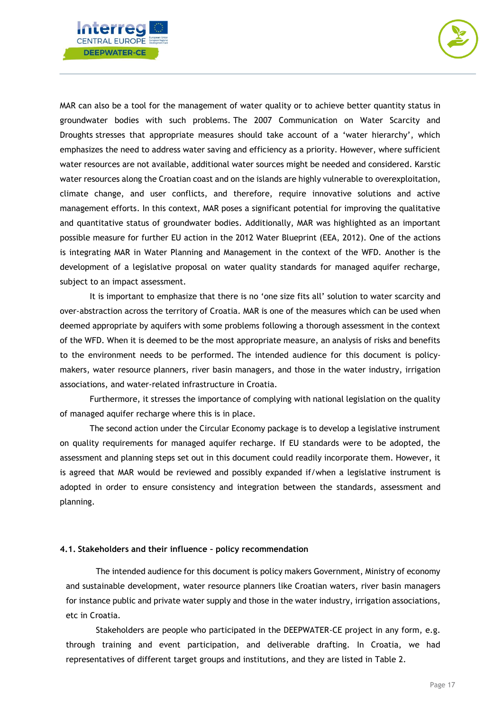



MAR can also be a tool for the management of water quality or to achieve better quantity status in groundwater bodies with such problems. The 2007 Communication on Water Scarcity and Droughts stresses that appropriate measures should take account of a 'water hierarchy', which emphasizes the need to address water saving and efficiency as a priority. However, where sufficient water resources are not available, additional water sources might be needed and considered. Karstic water resources along the Croatian coast and on the islands are highly vulnerable to overexploitation, climate change, and user conflicts, and therefore, require innovative solutions and active management efforts. In this context, MAR poses a significant potential for improving the qualitative and quantitative status of groundwater bodies. Additionally, MAR was highlighted as an important possible measure for further EU action in the 2012 Water Blueprint (EEA, 2012). One of the actions is integrating MAR in Water Planning and Management in the context of the WFD. Another is the development of a legislative proposal on water quality standards for managed aquifer recharge, subject to an impact assessment.

It is important to emphasize that there is no 'one size fits all' solution to water scarcity and over-abstraction across the territory of Croatia. MAR is one of the measures which can be used when deemed appropriate by aquifers with some problems following a thorough assessment in the context of the WFD. When it is deemed to be the most appropriate measure, an analysis of risks and benefits to the environment needs to be performed. The intended audience for this document is policymakers, water resource planners, river basin managers, and those in the water industry, irrigation associations, and water-related infrastructure in Croatia.

Furthermore, it stresses the importance of complying with national legislation on the quality of managed aquifer recharge where this is in place.

The second action under the Circular Economy package is to develop a legislative instrument on quality requirements for managed aquifer recharge. If EU standards were to be adopted, the assessment and planning steps set out in this document could readily incorporate them. However, it is agreed that MAR would be reviewed and possibly expanded if/when a legislative instrument is adopted in order to ensure consistency and integration between the standards, assessment and planning.

#### <span id="page-17-0"></span>**4.1. Stakeholders and their influence – policy recommendation**

The intended audience for this document is policy makers Government, Ministry of economy and sustainable development, water resource planners like Croatian waters, river basin managers for instance public and private water supply and those in the water industry, irrigation associations, etc in Croatia.

Stakeholders are people who participated in the DEEPWATER-CE project in any form, e.g. through training and event participation, and deliverable drafting. In Croatia, we had representatives of different target groups and institutions, and they are listed in Table 2.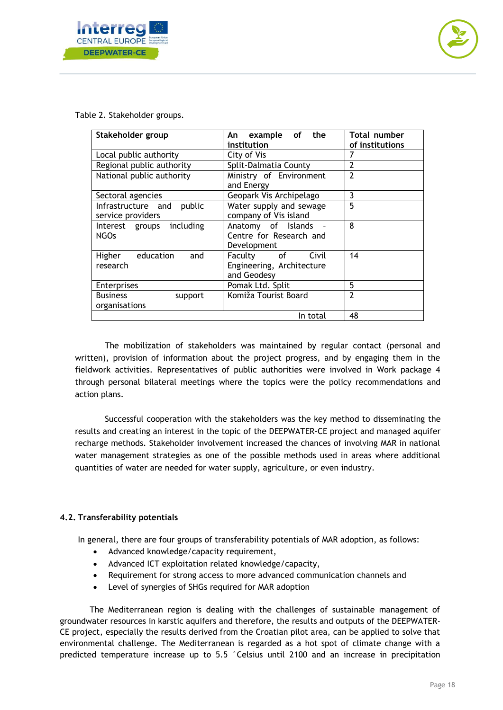



Table 2. Stakeholder groups.

| Stakeholder group                                 | An example of the<br>institution                                | <b>Total number</b><br>of institutions |
|---------------------------------------------------|-----------------------------------------------------------------|----------------------------------------|
| Local public authority                            | City of Vis                                                     | 7                                      |
| Regional public authority                         | Split-Dalmatia County                                           | $\overline{2}$                         |
| National public authority                         | Ministry of Environment<br>and Energy                           | $\overline{2}$                         |
| Sectoral agencies                                 | Geopark Vis Archipelago                                         | 3                                      |
| Infrastructure and<br>public<br>service providers | Water supply and sewage<br>company of Vis island                | 5                                      |
| Interest groups including<br><b>NGOs</b>          | Anatomy of Islands -<br>Centre for Research and<br>Development  | 8                                      |
| education<br>Higher<br>and<br>research            | Faculty of<br>Civil<br>Engineering, Architecture<br>and Geodesy | 14                                     |
| Enterprises                                       | Pomak Ltd. Split                                                | 5                                      |
| <b>Business</b><br>support<br>organisations       | Komiža Tourist Board                                            | $\overline{2}$                         |
|                                                   | In total                                                        | 48                                     |

The mobilization of stakeholders was maintained by regular contact (personal and written), provision of information about the project progress, and by engaging them in the fieldwork activities. Representatives of public authorities were involved in Work package 4 through personal bilateral meetings where the topics were the policy recommendations and action plans.

Successful cooperation with the stakeholders was the key method to disseminating the results and creating an interest in the topic of the DEEPWATER-CE project and managed aquifer recharge methods. Stakeholder involvement increased the chances of involving MAR in national water management strategies as one of the possible methods used in areas where additional quantities of water are needed for water supply, agriculture, or even industry.

## **4.2. Transferability potentials**

In general, there are four groups of transferability potentials of MAR adoption, as follows:

- Advanced knowledge/capacity requirement,
- Advanced ICT exploitation related knowledge/capacity,
- Requirement for strong access to more advanced communication channels and
- Level of synergies of SHGs required for MAR adoption

The Mediterranean region is dealing with the challenges of sustainable management of groundwater resources in karstic aquifers and therefore, the results and outputs of the DEEPWATER-CE project, especially the results derived from the Croatian pilot area, can be applied to solve that environmental challenge. The Mediterranean is regarded as a hot spot of climate change with a predicted temperature increase up to 5.5 °Celsius until 2100 and an increase in precipitation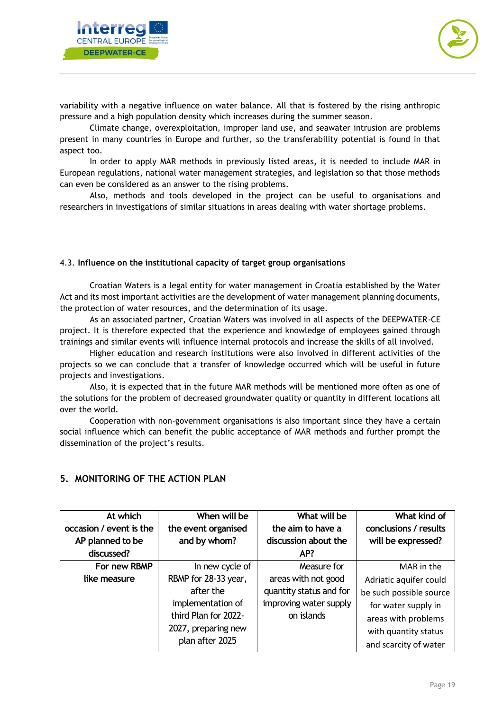



variability with a negative influence on water balance. All that is fostered by the rising anthropic pressure and a high population density which increases during the summer season.

Climate change, overexploitation, improper land use, and seawater intrusion are problems present in many countries in Europe and further, so the transferability potential is found in that aspect too.

In order to apply MAR methods in previously listed areas, it is needed to include MAR in European regulations, national water management strategies, and legislation so that those methods can even be considered as an answer to the rising problems.

Also, methods and tools developed in the project can be useful to organisations and researchers in investigations of similar situations in areas dealing with water shortage problems.

#### <span id="page-19-0"></span>4.3. **Influence on the institutional capacity of target group organisations**

Croatian Waters is a legal entity for water management in Croatia established by the Water Act and its most important activities are the development of water management planning documents, the protection of water resources, and the determination of its usage.

As an associated partner, Croatian Waters was involved in all aspects of the DEEPWATER-CE project. It is therefore expected that the experience and knowledge of employees gained through trainings and similar events will influence internal protocols and increase the skills of all involved.

Higher education and research institutions were also involved in different activities of the projects so we can conclude that a transfer of knowledge occurred which will be useful in future projects and investigations.

Also, it is expected that in the future MAR methods will be mentioned more often as one of the solutions for the problem of decreased groundwater quality or quantity in different locations all over the world.

Cooperation with non-government organisations is also important since they have a certain social influence which can benefit the public acceptance of MAR methods and further prompt the dissemination of the project's results.

| At which                | When will be         | What will be            | What kind of            |
|-------------------------|----------------------|-------------------------|-------------------------|
| occasion / event is the | the event organised  | the aim to have a       | conclusions / results   |
| AP planned to be        | and by whom?         | discussion about the    | will be expressed?      |
| discussed?              |                      | AP?                     |                         |
| For new RBMP            | In new cycle of      | Measure for             | MAR in the              |
| like measure            | RBMP for 28-33 year, | areas with not good     | Adriatic aquifer could  |
|                         | after the            | quantity status and for | be such possible source |
|                         | implementation of    | improving water supply  | for water supply in     |
|                         | third Plan for 2022- | on islands              | areas with problems     |
|                         | 2027, preparing new  |                         | with quantity status    |
|                         | plan after 2025      |                         | and scarcity of water   |

# <span id="page-19-1"></span>**5. MONITORING OF THE ACTION PLAN**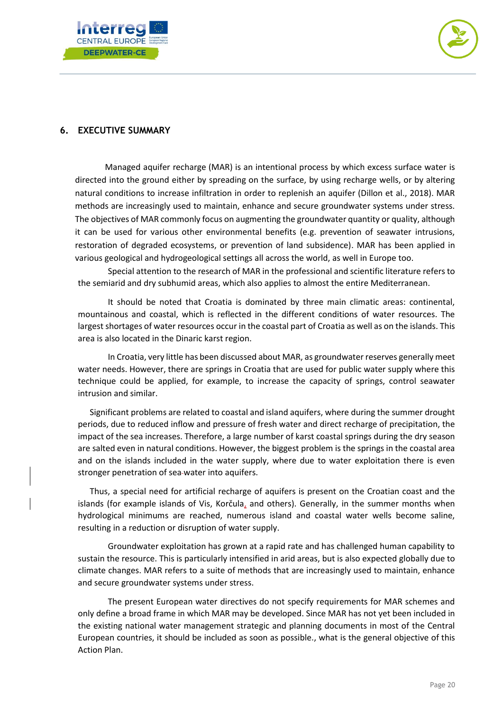



# <span id="page-20-0"></span>**6. EXECUTIVE SUMMARY**

Managed aquifer recharge (MAR) is an intentional process by which excess surface water is directed into the ground either by spreading on the surface, by using recharge wells, or by altering natural conditions to increase infiltration in order to replenish an aquifer (Dillon et al., 2018). MAR methods are increasingly used to maintain, enhance and secure groundwater systems under stress. The objectives of MAR commonly focus on augmenting the groundwater quantity or quality, although it can be used for various other environmental benefits (e.g. prevention of seawater intrusions, restoration of degraded ecosystems, or prevention of land subsidence). MAR has been applied in various geological and hydrogeological settings all across the world, as well in Europe too.

Special attention to the research of MAR in the professional and scientific literature refers to the semiarid and dry subhumid areas, which also applies to almost the entire Mediterranean.

It should be noted that Croatia is dominated by three main climatic areas: continental, mountainous and coastal, which is reflected in the different conditions of water resources. The largest shortages of water resources occur in the coastal part of Croatia as well as on the islands. This area is also located in the Dinaric karst region.

In Croatia, very little has been discussed about MAR, as groundwater reserves generally meet water needs. However, there are springs in Croatia that are used for public water supply where this technique could be applied, for example, to increase the capacity of springs, control seawater intrusion and similar.

Significant problems are related to coastal and island aquifers, where during the summer drought periods, due to reduced inflow and pressure of fresh water and direct recharge of precipitation, the impact of the sea increases. Therefore, a large number of karst coastal springs during the dry season are salted even in natural conditions. However, the biggest problem is the springs in the coastal area and on the islands included in the water supply, where due to water exploitation there is even stronger penetration of sea water into aquifers.

Thus, a special need for artificial recharge of aquifers is present on the Croatian coast and the islands (for example islands of Vis, Korčula, and others). Generally, in the summer months when hydrological minimums are reached, numerous island and coastal water wells become saline, resulting in a reduction or disruption of water supply.

Groundwater exploitation has grown at a rapid rate and has challenged human capability to sustain the resource. This is particularly intensified in arid areas, but is also expected globally due to climate changes. MAR refers to a suite of methods that are increasingly used to maintain, enhance and secure groundwater systems under stress.

The present European water directives do not specify requirements for MAR schemes and only define a broad frame in which MAR may be developed. Since MAR has not yet been included in the existing national water management strategic and planning documents in most of the Central European countries, it should be included as soon as possible., what is the general objective of this Action Plan.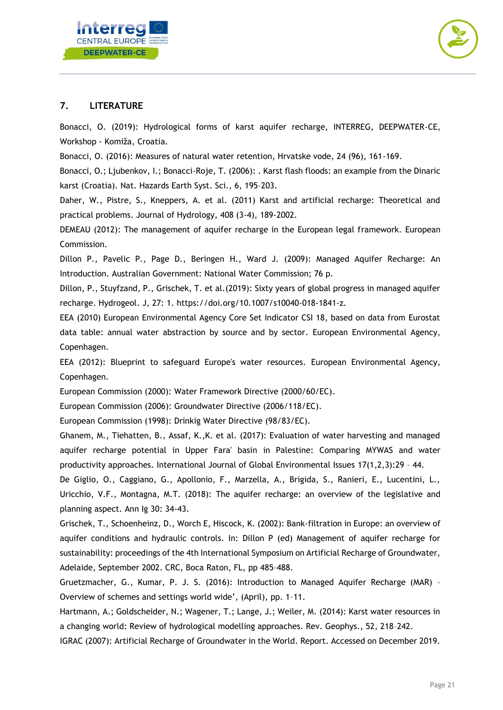



# **7. LITERATURE**

Bonacci, O. (2019): Hydrological forms of karst aquifer recharge, INTERREG, DEEPWATER-CE, Workshop - Komiža, Croatia.

Bonacci, O. (2016): Measures of natural water retention, Hrvatske vode, 24 (96), 161-169.

Bonacci, O.; Ljubenkov, I.; Bonacci-Roje, T. (2006): . Karst flash floods: an example from the Dinaric karst (Croatia). Nat. Hazards Earth Syst. Sci., 6, 195–203.

Daher, W., Pistre, S., Kneppers, A. et al. (2011) Karst and artificial recharge: Theoretical and practical problems. Journal of Hydrology, 408 (3-4), 189-2002.

DEMEAU (2012): The management of aquifer recharge in the European legal framework. European Commission.

Dillon P., Pavelic P., Page D., Beringen H., Ward J. (2009): Managed Aquifer Recharge: An Introduction. Australian Government: National Water Commission; 76 p.

Dillon, P., Stuyfzand, P., Grischek, T. et al.(2019): Sixty years of global progress in managed aquifer recharge. Hydrogeol. J, 27: 1. [https://doi.org/10.1007/s10040-018-1841-z.](https://doi.org/10.1007/s10040-018-1841-z)

EEA (2010) European Environmental Agency Core Set Indicator CSI 18, based on data from Eurostat data table: annual water abstraction by source and by sector. European Environmental Agency, Copenhagen.

EEA (2012): Blueprint to safeguard Europe's water resources. European Environmental Agency, Copenhagen.

European Commission (2000): Water Framework Directive (2000/60/EC).

European Commission (2006): Groundwater Directive (2006/118/EC).

European Commission (1998): Drinkig Water Directive (98/83/EC).

Ghanem, M., Tiehatten, B., Assaf, K.,K. et al. (2017): Evaluation of water harvesting and managed aquifer recharge potential in Upper Fara' basin in Palestine: Comparing MYWAS and water productivity approaches. International Journal of Global Environmental Issues 17(1,2,3):29 – 44.

De Giglio, O., Caggiano, G., Apollonio, F., Marzella, A., Brigida, S., Ranieri, E., Lucentini, L., Uricchio, V.F., Montagna, M.T. (2018): The aquifer recharge: an overview of the legislative and planning aspect. Ann Ig 30: 34-43.

Grischek, T., Schoenheinz, D., Worch E, Hiscock, K. (2002): Bank-filtration in Europe: an overview of aquifer conditions and hydraulic controls. In: Dillon P (ed) Management of aquifer recharge for sustainability: proceedings of the 4th International Symposium on Artificial Recharge of Groundwater, Adelaide, September 2002. CRC, Boca Raton, FL, pp 485–488.

Gruetzmacher, G., Kumar, P. J. S. (2016): Introduction to Managed Aquifer Recharge (MAR) – Overview of schemes and settings world wide', (April), pp. 1–11.

Hartmann, A.; Goldscheider, N.; Wagener, T.; Lange, J.; Weiler, M. (2014): Karst water resources in a changing world: Review of hydrological modelling approaches. Rev. Geophys., 52, 218–242.

IGRAC (2007): Artificial Recharge of Groundwater in the World. Report. Accessed on December 2019.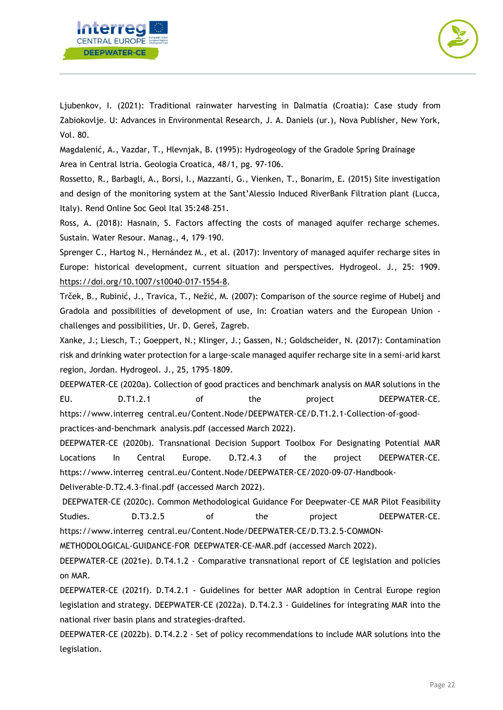



Ljubenkov, I. (2021): Traditional rainwater harvesting in Dalmatia (Croatia): Case study from Zabiokovlje. U: Advances in Environmental Research, J. A. Daniels (ur.), Nova Publisher, New York, Vol. 80.

Magdalenić, A., Vazdar, T., Hlevnjak, B. (1995): Hydrogeology of the Gradole Spring Drainage Area in Central Istria. Geologia Croatica, 48/1, pg. 97-106.

Rossetto, R., Barbagli, A., Borsi, I., Mazzanti, G., Vienken, T., Bonarim, E. (2015) Site investigation and design of the monitoring system at the Sant'Alessio Induced RiverBank Filtration plant (Lucca, Italy). Rend Online Soc Geol Ital 35:248–251.

Ross, A. (2018): Hasnain, S. Factors affecting the costs of managed aquifer recharge schemes. Sustain. Water Resour. Manag., 4, 179–190.

Sprenger C., Hartog N., Hernández M., et al. (2017): Inventory of managed aquifer recharge sites in Europe: historical development, current situation and perspectives. Hydrogeol. J., 25: 1909. [https://doi.org/10.1007/s10040-017-1554-8.](https://doi.org/10.1007/s10040-017-1554-8)

Trček, B., Rubinić, J., Travica, T., Nežić, M. (2007): Comparison of the source regime of Hubelj and Gradola and possibilities of development of use, In: Croatian waters and the European Union challenges and possibilities, Ur. D. Gereš, Zagreb.

Xanke, J.; Liesch, T.; Goeppert, N.; Klinger, J.; Gassen, N.; Goldscheider, N. (2017): Contamination risk and drinking water protection for a large-scale managed aquifer recharge site in a semi-arid karst region, Jordan. Hydrogeol. J., 25, 1795–1809.

DEEPWATER-CE (2020a). Collection of good practices and benchmark analysis on MAR solutions in the EU. D.T1.2.1 of the project DEEPWATER-CE. https://www.interreg central.eu/Content.Node/DEEPWATER-CE/D.T1.2.1-Collection-of-goodpractices-and-benchmark analysis.pdf (accessed March 2022).

DEEPWATER-CE (2020b). Transnational Decision Support Toolbox For Designating Potential MAR Locations In Central Europe. D.T2.4.3 of the project DEEPWATER-CE. https://www.interreg central.eu/Content.Node/DEEPWATER-CE/2020-09-07-Handbook-Deliverable-D.T2.4.3-final.pdf (accessed March 2022).

DEEPWATER-CE (2020c). Common Methodological Guidance For Deepwater-CE MAR Pilot Feasibility Studies. **D.T3.2.5** of the project DEEPWATER-CE. https://www.interreg central.eu/Content.Node/DEEPWATER-CE/D.T3.2.5-COMMON-

METHODOLOGICAL-GUIDANCE-FOR DEEPWATER-CE-MAR.pdf (accessed March 2022).

DEEPWATER-CE (2021e). D.T4.1.2 - Comparative transnational report of CE legislation and policies on MAR.

DEEPWATER-CE (2021f). D.T4.2.1 - Guidelines for better MAR adoption in Central Europe region legislation and strategy. DEEPWATER-CE (2022a). D.T4.2.3 - Guidelines for integrating MAR into the national river basin plans and strategies-drafted.

DEEPWATER-CE (2022b). D.T4.2.2 - Set of policy recommendations to include MAR solutions into the legislation.